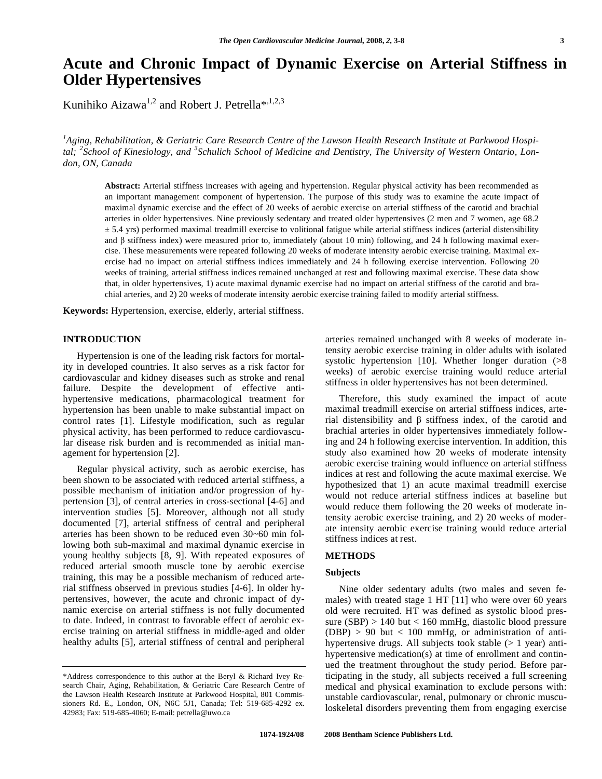# **Acute and Chronic Impact of Dynamic Exercise on Arterial Stiffness in Older Hypertensives**

Kunihiko Aizawa<sup>1,2</sup> and Robert J. Petrella\*,<sup>1,2,3</sup>

*1 Aging, Rehabilitation, & Geriatric Care Research Centre of the Lawson Health Research Institute at Parkwood Hospi*tal, <sup>2</sup> School of Kinesiology, and <sup>3</sup> Schulich School of Medicine and Dentistry, The University of Western Ontario, Lon*don, ON, Canada* 

**Abstract:** Arterial stiffness increases with ageing and hypertension. Regular physical activity has been recommended as an important management component of hypertension. The purpose of this study was to examine the acute impact of maximal dynamic exercise and the effect of 20 weeks of aerobic exercise on arterial stiffness of the carotid and brachial arteries in older hypertensives. Nine previously sedentary and treated older hypertensives (2 men and 7 women, age 68.2  $\pm$  5.4 yrs) performed maximal treadmill exercise to volitional fatigue while arterial stiffness indices (arterial distensibility and  $\beta$  stiffness index) were measured prior to, immediately (about 10 min) following, and 24 h following maximal exercise. These measurements were repeated following 20 weeks of moderate intensity aerobic exercise training. Maximal exercise had no impact on arterial stiffness indices immediately and 24 h following exercise intervention. Following 20 weeks of training, arterial stiffness indices remained unchanged at rest and following maximal exercise. These data show that, in older hypertensives, 1) acute maximal dynamic exercise had no impact on arterial stiffness of the carotid and brachial arteries, and 2) 20 weeks of moderate intensity aerobic exercise training failed to modify arterial stiffness.

**Keywords:** Hypertension, exercise, elderly, arterial stiffness.

#### **INTRODUCTION**

 Hypertension is one of the leading risk factors for mortality in developed countries. It also serves as a risk factor for cardiovascular and kidney diseases such as stroke and renal failure. Despite the development of effective antihypertensive medications, pharmacological treatment for hypertension has been unable to make substantial impact on control rates [1]. Lifestyle modification, such as regular physical activity, has been performed to reduce cardiovascular disease risk burden and is recommended as initial management for hypertension [2].

 Regular physical activity, such as aerobic exercise, has been shown to be associated with reduced arterial stiffness, a possible mechanism of initiation and/or progression of hypertension [3], of central arteries in cross-sectional [4-6] and intervention studies [5]. Moreover, although not all study documented [7], arterial stiffness of central and peripheral arteries has been shown to be reduced even 30~60 min following both sub-maximal and maximal dynamic exercise in young healthy subjects [8, 9]. With repeated exposures of reduced arterial smooth muscle tone by aerobic exercise training, this may be a possible mechanism of reduced arterial stiffness observed in previous studies [4-6]. In older hypertensives, however, the acute and chronic impact of dynamic exercise on arterial stiffness is not fully documented to date. Indeed, in contrast to favorable effect of aerobic exercise training on arterial stiffness in middle-aged and older healthy adults [5], arterial stiffness of central and peripheral

arteries remained unchanged with 8 weeks of moderate intensity aerobic exercise training in older adults with isolated systolic hypertension [10]. Whether longer duration (>8 weeks) of aerobic exercise training would reduce arterial stiffness in older hypertensives has not been determined.

 Therefore, this study examined the impact of acute maximal treadmill exercise on arterial stiffness indices, arterial distensibility and  $\beta$  stiffness index, of the carotid and brachial arteries in older hypertensives immediately following and 24 h following exercise intervention. In addition, this study also examined how 20 weeks of moderate intensity aerobic exercise training would influence on arterial stiffness indices at rest and following the acute maximal exercise. We hypothesized that 1) an acute maximal treadmill exercise would not reduce arterial stiffness indices at baseline but would reduce them following the 20 weeks of moderate intensity aerobic exercise training, and 2) 20 weeks of moderate intensity aerobic exercise training would reduce arterial stiffness indices at rest.

# **METHODS**

# **Subjects**

 Nine older sedentary adults (two males and seven females) with treated stage 1 HT [11] who were over 60 years old were recruited. HT was defined as systolic blood pressure (SBP) > 140 but < 160 mmHg, diastolic blood pressure  $(DBP) > 90$  but < 100 mmHg, or administration of antihypertensive drugs. All subjects took stable  $(> 1 \text{ year})$  antihypertensive medication(s) at time of enrollment and continued the treatment throughout the study period. Before participating in the study, all subjects received a full screening medical and physical examination to exclude persons with: unstable cardiovascular, renal, pulmonary or chronic musculoskeletal disorders preventing them from engaging exercise

<sup>\*</sup>Address correspondence to this author at the Beryl & Richard Ivey Research Chair, Aging, Rehabilitation, & Geriatric Care Research Centre of the Lawson Health Research Institute at Parkwood Hospital, 801 Commissioners Rd. E., London, ON, N6C 5J1, Canada; Tel: 519-685-4292 ex. 42983; Fax: 519-685-4060; E-mail: petrella@uwo.ca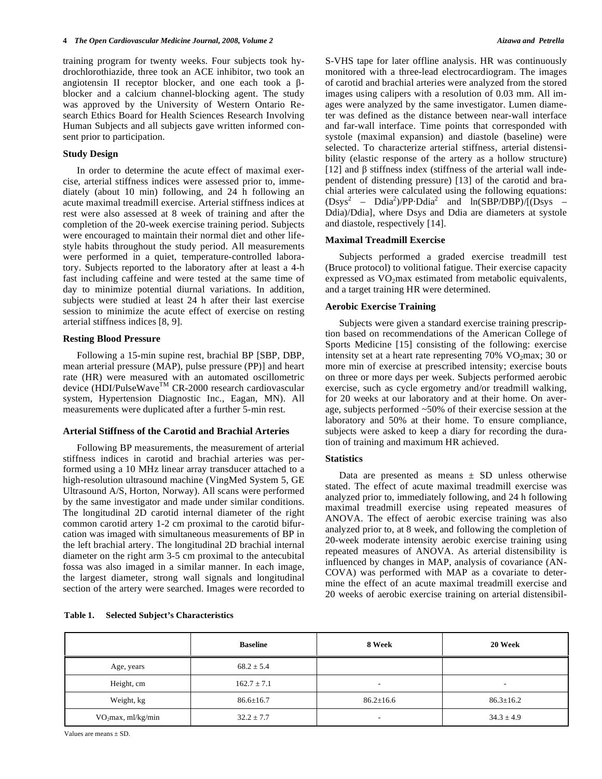training program for twenty weeks. Four subjects took hydrochlorothiazide, three took an ACE inhibitor, two took an angiotensin II receptor blocker, and one each took a  $\beta$ blocker and a calcium channel-blocking agent. The study was approved by the University of Western Ontario Research Ethics Board for Health Sciences Research Involving Human Subjects and all subjects gave written informed consent prior to participation.

# **Study Design**

 In order to determine the acute effect of maximal exercise, arterial stiffness indices were assessed prior to, immediately (about 10 min) following, and 24 h following an acute maximal treadmill exercise. Arterial stiffness indices at rest were also assessed at 8 week of training and after the completion of the 20-week exercise training period. Subjects were encouraged to maintain their normal diet and other lifestyle habits throughout the study period. All measurements were performed in a quiet, temperature-controlled laboratory. Subjects reported to the laboratory after at least a 4-h fast including caffeine and were tested at the same time of day to minimize potential diurnal variations. In addition, subjects were studied at least 24 h after their last exercise session to minimize the acute effect of exercise on resting arterial stiffness indices [8, 9].

# **Resting Blood Pressure**

 Following a 15-min supine rest, brachial BP [SBP, DBP, mean arterial pressure (MAP), pulse pressure (PP)] and heart rate (HR) were measured with an automated oscillometric device (HDI/PulseWave<sup>™</sup> CR-2000 research cardiovascular system, Hypertension Diagnostic Inc., Eagan, MN). All measurements were duplicated after a further 5-min rest.

#### **Arterial Stiffness of the Carotid and Brachial Arteries**

 Following BP measurements, the measurement of arterial stiffness indices in carotid and brachial arteries was performed using a 10 MHz linear array transducer attached to a high-resolution ultrasound machine (VingMed System 5, GE Ultrasound A/S, Horton, Norway). All scans were performed by the same investigator and made under similar conditions. The longitudinal 2D carotid internal diameter of the right common carotid artery 1-2 cm proximal to the carotid bifurcation was imaged with simultaneous measurements of BP in the left brachial artery. The longitudinal 2D brachial internal diameter on the right arm 3-5 cm proximal to the antecubital fossa was also imaged in a similar manner. In each image, the largest diameter, strong wall signals and longitudinal section of the artery were searched. Images were recorded to

**Table 1. Selected Subject's Characteristics** 

S-VHS tape for later offline analysis. HR was continuously monitored with a three-lead electrocardiogram. The images of carotid and brachial arteries were analyzed from the stored images using calipers with a resolution of 0.03 mm. All images were analyzed by the same investigator. Lumen diameter was defined as the distance between near-wall interface and far-wall interface. Time points that corresponded with systole (maximal expansion) and diastole (baseline) were selected. To characterize arterial stiffness, arterial distensibility (elastic response of the artery as a hollow structure) [12] and  $\beta$  stiffness index (stiffness of the arterial wall independent of distending pressure) [13] of the carotid and brachial arteries were calculated using the following equations:  $(Dsys<sup>2</sup> - Ddia<sup>2</sup>)/PP \cdot Ddia<sup>2</sup>$  and  $ln(SBP/DBP)/[(Dsys -$ Ddia)/Ddia], where Dsys and Ddia are diameters at systole and diastole, respectively [14].

#### **Maximal Treadmill Exercise**

 Subjects performed a graded exercise treadmill test (Bruce protocol) to volitional fatigue. Their exercise capacity expressed as  $VO<sub>2</sub>max$  estimated from metabolic equivalents, and a target training HR were determined.

# **Aerobic Exercise Training**

 Subjects were given a standard exercise training prescription based on recommendations of the American College of Sports Medicine [15] consisting of the following: exercise intensity set at a heart rate representing  $70\%$  VO<sub>2</sub>max; 30 or more min of exercise at prescribed intensity; exercise bouts on three or more days per week. Subjects performed aerobic exercise, such as cycle ergometry and/or treadmill walking, for 20 weeks at our laboratory and at their home. On average, subjects performed ~50% of their exercise session at the laboratory and 50% at their home. To ensure compliance, subjects were asked to keep a diary for recording the duration of training and maximum HR achieved.

# **Statistics**

Data are presented as means  $\pm$  SD unless otherwise stated. The effect of acute maximal treadmill exercise was analyzed prior to, immediately following, and 24 h following maximal treadmill exercise using repeated measures of ANOVA. The effect of aerobic exercise training was also analyzed prior to, at 8 week, and following the completion of 20-week moderate intensity aerobic exercise training using repeated measures of ANOVA. As arterial distensibility is influenced by changes in MAP, analysis of covariance (AN-COVA) was performed with MAP as a covariate to determine the effect of an acute maximal treadmill exercise and 20 weeks of aerobic exercise training on arterial distensibil-

|                                        | <b>Baseline</b> | 8 Week                   | 20 Week                  |  |
|----------------------------------------|-----------------|--------------------------|--------------------------|--|
| Age, years                             | $68.2 \pm 5.4$  |                          |                          |  |
| Height, cm                             | $162.7 \pm 7.1$ | $\overline{\phantom{a}}$ | $\overline{\phantom{0}}$ |  |
| Weight, kg                             | $86.6 \pm 16.7$ |                          | $86.3 \pm 16.2$          |  |
| $VO2max$ , ml/kg/min<br>$32.2 \pm 7.7$ |                 | $\overline{\phantom{a}}$ | $34.3 \pm 4.9$           |  |

Values are means + SD.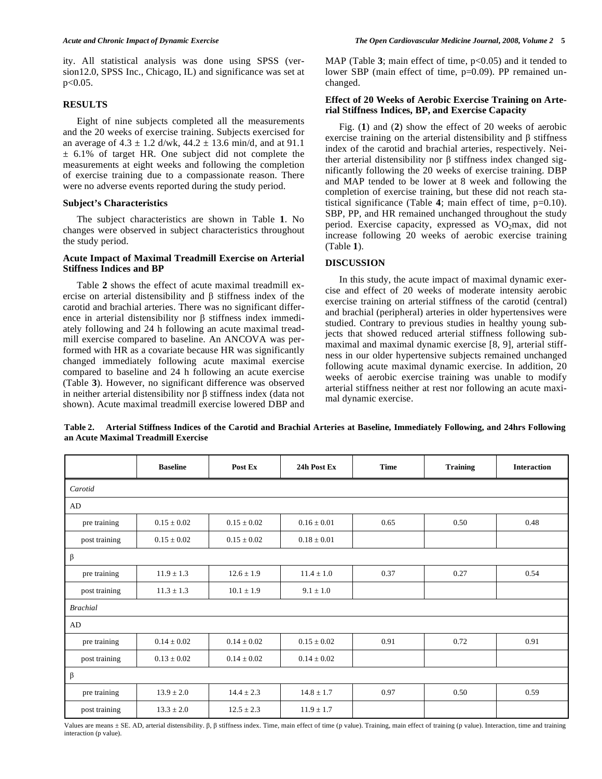ity. All statistical analysis was done using SPSS (version12.0, SPSS Inc., Chicago, IL) and significance was set at  $p < 0.05$ .

# **RESULTS**

 Eight of nine subjects completed all the measurements and the 20 weeks of exercise training. Subjects exercised for an average of  $4.3 \pm 1.2$  d/wk,  $44.2 \pm 13.6$  min/d, and at 91.1  $\pm$  6.1% of target HR. One subject did not complete the measurements at eight weeks and following the completion of exercise training due to a compassionate reason. There were no adverse events reported during the study period.

# **Subject's Characteristics**

 The subject characteristics are shown in Table **1**. No changes were observed in subject characteristics throughout the study period.

# **Acute Impact of Maximal Treadmill Exercise on Arterial Stiffness Indices and BP**

 Table **2** shows the effect of acute maximal treadmill exercise on arterial distensibility and  $\beta$  stiffness index of the carotid and brachial arteries. There was no significant difference in arterial distensibility nor  $\beta$  stiffness index immediately following and 24 h following an acute maximal treadmill exercise compared to baseline. An ANCOVA was performed with HR as a covariate because HR was significantly changed immediately following acute maximal exercise compared to baseline and 24 h following an acute exercise (Table **3**). However, no significant difference was observed in neither arterial distensibility nor  $\beta$  stiffness index (data not shown). Acute maximal treadmill exercise lowered DBP and

MAP (Table 3; main effect of time,  $p<0.05$ ) and it tended to lower SBP (main effect of time, p=0.09). PP remained unchanged.

# **Effect of 20 Weeks of Aerobic Exercise Training on Arterial Stiffness Indices, BP, and Exercise Capacity**

 Fig. (**1**) and (**2**) show the effect of 20 weeks of aerobic exercise training on the arterial distensibility and  $\beta$  stiffness index of the carotid and brachial arteries, respectively. Neither arterial distensibility nor  $\beta$  stiffness index changed significantly following the 20 weeks of exercise training. DBP and MAP tended to be lower at 8 week and following the completion of exercise training, but these did not reach statistical significance (Table **4**; main effect of time, p=0.10). SBP, PP, and HR remained unchanged throughout the study period. Exercise capacity, expressed as  $VO<sub>2</sub>max$ , did not increase following 20 weeks of aerobic exercise training (Table **1**).

# **DISCUSSION**

 In this study, the acute impact of maximal dynamic exercise and effect of 20 weeks of moderate intensity aerobic exercise training on arterial stiffness of the carotid (central) and brachial (peripheral) arteries in older hypertensives were studied. Contrary to previous studies in healthy young subjects that showed reduced arterial stiffness following submaximal and maximal dynamic exercise [8, 9], arterial stiffness in our older hypertensive subjects remained unchanged following acute maximal dynamic exercise. In addition, 20 weeks of aerobic exercise training was unable to modify arterial stiffness neither at rest nor following an acute maximal dynamic exercise.

|                 | <b>Baseline</b> | Post Ex         | 24h Post Ex     | <b>Time</b> | <b>Training</b> | <b>Interaction</b> |
|-----------------|-----------------|-----------------|-----------------|-------------|-----------------|--------------------|
| Carotid         |                 |                 |                 |             |                 |                    |
| AD              |                 |                 |                 |             |                 |                    |
| pre training    | $0.15 \pm 0.02$ | $0.15 \pm 0.02$ | $0.16 \pm 0.01$ | 0.65        | 0.50            | 0.48               |
| post training   | $0.15 \pm 0.02$ | $0.15 \pm 0.02$ | $0.18 \pm 0.01$ |             |                 |                    |
| β               |                 |                 |                 |             |                 |                    |
| pre training    | $11.9 \pm 1.3$  | $12.6 \pm 1.9$  | $11.4 \pm 1.0$  | 0.37        | 0.27            | 0.54               |
| post training   | $11.3 \pm 1.3$  | $10.1 \pm 1.9$  | $9.1 \pm 1.0$   |             |                 |                    |
| <b>Brachial</b> |                 |                 |                 |             |                 |                    |
| AD              |                 |                 |                 |             |                 |                    |
| pre training    | $0.14 \pm 0.02$ | $0.14 \pm 0.02$ | $0.15 \pm 0.02$ | 0.91        | 0.72            | 0.91               |
| post training   | $0.13 \pm 0.02$ | $0.14 \pm 0.02$ | $0.14 \pm 0.02$ |             |                 |                    |
| β               |                 |                 |                 |             |                 |                    |
| pre training    | $13.9 \pm 2.0$  | $14.4 \pm 2.3$  | $14.8 \pm 1.7$  | 0.97        | 0.50            | 0.59               |
| post training   | $13.3 \pm 2.0$  | $12.5 \pm 2.3$  | $11.9 \pm 1.7$  |             |                 |                    |

**Table 2. Arterial Stiffness Indices of the Carotid and Brachial Arteries at Baseline, Immediately Following, and 24hrs Following an Acute Maximal Treadmill Exercise** 

Values are means  $\pm$  SE. AD, arterial distensibility.  $\beta$ ,  $\beta$  stiffness index. Time, main effect of time (p value). Training, main effect of training (p value). Interaction, time and training interaction (p value).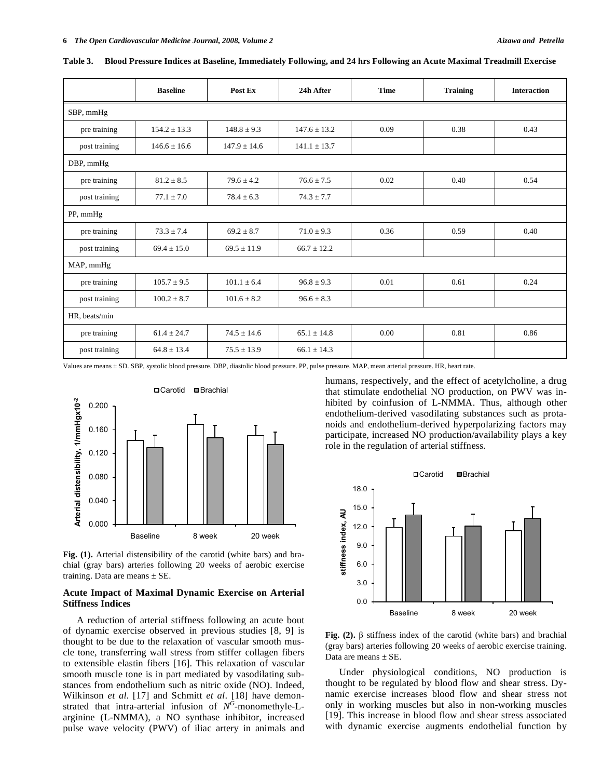|               | <b>Baseline</b>  | Post Ex          | 24h After        | <b>Time</b> | <b>Training</b> | <b>Interaction</b> |
|---------------|------------------|------------------|------------------|-------------|-----------------|--------------------|
| SBP, mmHg     |                  |                  |                  |             |                 |                    |
| pre training  | $154.2 \pm 13.3$ | $148.8 \pm 9.3$  | $147.6 \pm 13.2$ | 0.09        | 0.38            | 0.43               |
| post training | $146.6 \pm 16.6$ | $147.9 \pm 14.6$ | $141.1 \pm 13.7$ |             |                 |                    |
| DBP, mmHg     |                  |                  |                  |             |                 |                    |
| pre training  | $81.2 \pm 8.5$   | $79.6 \pm 4.2$   | $76.6 \pm 7.5$   | 0.02        | 0.40            | 0.54               |
| post training | $77.1 \pm 7.0$   | $78.4 \pm 6.3$   | $74.3 \pm 7.7$   |             |                 |                    |
| PP, mmHg      |                  |                  |                  |             |                 |                    |
| pre training  | $73.3 + 7.4$     | $69.2 + 8.7$     | $71.0 \pm 9.3$   | 0.36        | 0.59            | 0.40               |
| post training | $69.4 \pm 15.0$  | $69.5 \pm 11.9$  | $66.7 \pm 12.2$  |             |                 |                    |
| MAP, mmHg     |                  |                  |                  |             |                 |                    |
| pre training  | $105.7 \pm 9.5$  | $101.1 \pm 6.4$  | $96.8 \pm 9.3$   | 0.01        | 0.61            | 0.24               |
| post training | $100.2 + 8.7$    | $101.6 + 8.2$    | $96.6 + 8.3$     |             |                 |                    |
| HR, beats/min |                  |                  |                  |             |                 |                    |
| pre training  | $61.4 \pm 24.7$  | $74.5 \pm 14.6$  | $65.1 \pm 14.8$  | 0.00        | 0.81            | 0.86               |
| post training | $64.8 \pm 13.4$  | $75.5 \pm 13.9$  | $66.1 \pm 14.3$  |             |                 |                    |

**Table 3. Blood Pressure Indices at Baseline, Immediately Following, and 24 hrs Following an Acute Maximal Treadmill Exercise** 

Values are means ± SD. SBP, systolic blood pressure. DBP, diastolic blood pressure. PP, pulse pressure. MAP, mean arterial pressure. HR, heart rate.



**Fig. (1).** Arterial distensibility of the carotid (white bars) and brachial (gray bars) arteries following 20 weeks of aerobic exercise training. Data are means  $\pm$  SE.

# **Acute Impact of Maximal Dynamic Exercise on Arterial Stiffness Indices**

 A reduction of arterial stiffness following an acute bout of dynamic exercise observed in previous studies [8, 9] is thought to be due to the relaxation of vascular smooth muscle tone, transferring wall stress from stiffer collagen fibers to extensible elastin fibers [16]. This relaxation of vascular smooth muscle tone is in part mediated by vasodilating substances from endothelium such as nitric oxide (NO). Indeed, Wilkinson *et al*. [17] and Schmitt *et al*. [18] have demonstrated that intra-arterial infusion of  $N^G$ -monomethyle-Larginine (L-NMMA), a NO synthase inhibitor, increased pulse wave velocity (PWV) of iliac artery in animals and humans, respectively, and the effect of acetylcholine, a drug that stimulate endothelial NO production, on PWV was inhibited by coinfusion of L-NMMA. Thus, although other endothelium-derived vasodilating substances such as protanoids and endothelium-derived hyperpolarizing factors may participate, increased NO production/availability plays a key role in the regulation of arterial stiffness.



**Fig. (2).**  $\beta$  stiffness index of the carotid (white bars) and brachial (gray bars) arteries following 20 weeks of aerobic exercise training. Data are means  $\pm$  SE.

 Under physiological conditions, NO production is thought to be regulated by blood flow and shear stress. Dynamic exercise increases blood flow and shear stress not only in working muscles but also in non-working muscles [19]. This increase in blood flow and shear stress associated with dynamic exercise augments endothelial function by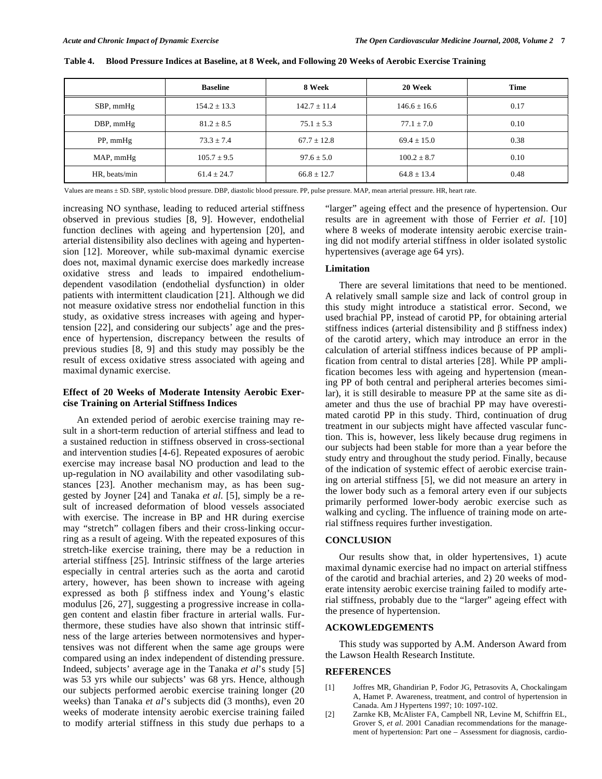|                 | <b>Baseline</b>  | 8 Week           | 20 Week          | Time |
|-----------------|------------------|------------------|------------------|------|
| SBP, mmHg       | $154.2 \pm 13.3$ | $142.7 \pm 11.4$ | $146.6 \pm 16.6$ | 0.17 |
| $DBP$ , mm $Hg$ | $81.2 \pm 8.5$   | $75.1 \pm 5.3$   | $77.1 \pm 7.0$   | 0.10 |
| PP, mmHg        | $73.3 \pm 7.4$   | $67.7 \pm 12.8$  | $69.4 \pm 15.0$  | 0.38 |
| MAP, mmHg       | $105.7 \pm 9.5$  | $97.6 \pm 5.0$   | $100.2 \pm 8.7$  | 0.10 |
| HR, beats/min   | $61.4 \pm 24.7$  | $66.8 \pm 12.7$  | $64.8 \pm 13.4$  | 0.48 |

**Table 4. Blood Pressure Indices at Baseline, at 8 Week, and Following 20 Weeks of Aerobic Exercise Training** 

Values are means ± SD. SBP, systolic blood pressure. DBP, diastolic blood pressure. PP, pulse pressure. MAP, mean arterial pressure. HR, heart rate.

increasing NO synthase, leading to reduced arterial stiffness observed in previous studies [8, 9]. However, endothelial function declines with ageing and hypertension [20], and arterial distensibility also declines with ageing and hypertension [12]. Moreover, while sub-maximal dynamic exercise does not, maximal dynamic exercise does markedly increase oxidative stress and leads to impaired endotheliumdependent vasodilation (endothelial dysfunction) in older patients with intermittent claudication [21]. Although we did not measure oxidative stress nor endothelial function in this study, as oxidative stress increases with ageing and hypertension [22], and considering our subjects' age and the presence of hypertension, discrepancy between the results of previous studies [8, 9] and this study may possibly be the result of excess oxidative stress associated with ageing and maximal dynamic exercise.

# **Effect of 20 Weeks of Moderate Intensity Aerobic Exercise Training on Arterial Stiffness Indices**

 An extended period of aerobic exercise training may result in a short-term reduction of arterial stiffness and lead to a sustained reduction in stiffness observed in cross-sectional and intervention studies [4-6]. Repeated exposures of aerobic exercise may increase basal NO production and lead to the up-regulation in NO availability and other vasodilating substances [23]. Another mechanism may, as has been suggested by Joyner [24] and Tanaka *et al*. [5], simply be a result of increased deformation of blood vessels associated with exercise. The increase in BP and HR during exercise may "stretch" collagen fibers and their cross-linking occurring as a result of ageing. With the repeated exposures of this stretch-like exercise training, there may be a reduction in arterial stiffness [25]. Intrinsic stiffness of the large arteries especially in central arteries such as the aorta and carotid artery, however, has been shown to increase with ageing expressed as both  $\beta$  stiffness index and Young's elastic modulus [26, 27], suggesting a progressive increase in collagen content and elastin fiber fracture in arterial walls. Furthermore, these studies have also shown that intrinsic stiffness of the large arteries between normotensives and hypertensives was not different when the same age groups were compared using an index independent of distending pressure. Indeed, subjects' average age in the Tanaka *et al*'s study [5] was 53 yrs while our subjects' was 68 yrs. Hence, although our subjects performed aerobic exercise training longer (20 weeks) than Tanaka *et al*'s subjects did (3 months), even 20 weeks of moderate intensity aerobic exercise training failed to modify arterial stiffness in this study due perhaps to a

"larger" ageing effect and the presence of hypertension. Our results are in agreement with those of Ferrier *et al*. [10] where 8 weeks of moderate intensity aerobic exercise training did not modify arterial stiffness in older isolated systolic hypertensives (average age 64 yrs).

# **Limitation**

 There are several limitations that need to be mentioned. A relatively small sample size and lack of control group in this study might introduce a statistical error. Second, we used brachial PP, instead of carotid PP, for obtaining arterial stiffness indices (arterial distensibility and  $\beta$  stiffness index) of the carotid artery, which may introduce an error in the calculation of arterial stiffness indices because of PP amplification from central to distal arteries [28]. While PP amplification becomes less with ageing and hypertension (meaning PP of both central and peripheral arteries becomes similar), it is still desirable to measure PP at the same site as diameter and thus the use of brachial PP may have overestimated carotid PP in this study. Third, continuation of drug treatment in our subjects might have affected vascular function. This is, however, less likely because drug regimens in our subjects had been stable for more than a year before the study entry and throughout the study period. Finally, because of the indication of systemic effect of aerobic exercise training on arterial stiffness [5], we did not measure an artery in the lower body such as a femoral artery even if our subjects primarily performed lower-body aerobic exercise such as walking and cycling. The influence of training mode on arterial stiffness requires further investigation.

# **CONCLUSION**

 Our results show that, in older hypertensives, 1) acute maximal dynamic exercise had no impact on arterial stiffness of the carotid and brachial arteries, and 2) 20 weeks of moderate intensity aerobic exercise training failed to modify arterial stiffness, probably due to the "larger" ageing effect with the presence of hypertension.

# **ACKOWLEDGEMENTS**

 This study was supported by A.M. Anderson Award from the Lawson Health Research Institute.

# **REFERENCES**

- [1] Joffres MR, Ghandirian P, Fodor JG, Petrasovits A, Chockalingam A, Hamet P. Awareness, treatment, and control of hypertension in Canada. Am J Hypertens 1997; 10: 1097-102.
- [2] Zarnke KB, McAlister FA, Campbell NR, Levine M, Schiffrin EL, Grover S, *et al.* 2001 Canadian recommendations for the management of hypertension: Part one – Assessment for diagnosis, cardio-